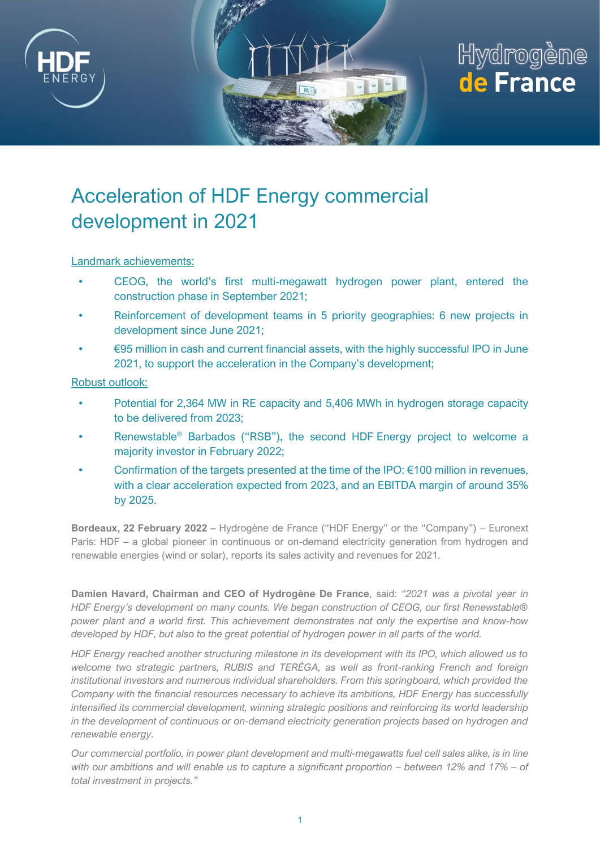

# Hydrogène de France

## Acceleration of HDF Energy commercial development in 2021

Landmark achievements:

- CEOG, the world's first multi-megawatt hydrogen power plant, entered the construction phase in September 2021;
- Reinforcement of development teams in 5 priority geographies: 6 new projects in development since June 2021;
- €95 million in cash and current financial assets, with the highly successful IPO in June 2021, to support the acceleration in the Company's development;

Robust outlook:

- Potential for 2,364 MW in RE capacity and 5,406 MWh in hydrogen storage capacity to be delivered from 2023;
- Renewstable<sup>®</sup> Barbados ("RSB"), the second HDF Energy project to welcome a majority investor in February 2022;
- Confirmation of the targets presented at the time of the IPO:  $€100$  million in revenues, with a clear acceleration expected from 2023, and an EBITDA margin of around 35% by 2025.

**Bordeaux, 22 February 2022 –** Hydrogène de France ("HDF Energy" or the "Company") – Euronext Paris: HDF – a global pioneer in continuous or on-demand electricity generation from hydrogen and renewable energies (wind or solar), reports its sales activity and revenues for 2021.

**Damien Havard, Chairman and CEO of Hydrogène De France**, said: *"2021 was a pivotal year in HDF Energy's development on many counts. We began construction of CEOG, our first Renewstable® power plant and a world first. This achievement demonstrates not only the expertise and know-how developed by HDF, but also to the great potential of hydrogen power in all parts of the world.* 

*HDF Energy reached another structuring milestone in its development with its IPO, which allowed us to welcome two strategic partners, RUBIS and TERÉGA, as well as front-ranking French and foreign institutional investors and numerous individual shareholders. From this springboard, which provided the Company with the financial resources necessary to achieve its ambitions, HDF Energy has successfully intensified its commercial development, winning strategic positions and reinforcing its world leadership in the development of continuous or on-demand electricity generation projects based on hydrogen and renewable energy.*

*Our commercial portfolio, in power plant development and multi-megawatts fuel cell sales alike, is in line with our ambitions and will enable us to capture a significant proportion – between 12% and 17% – of total investment in projects."*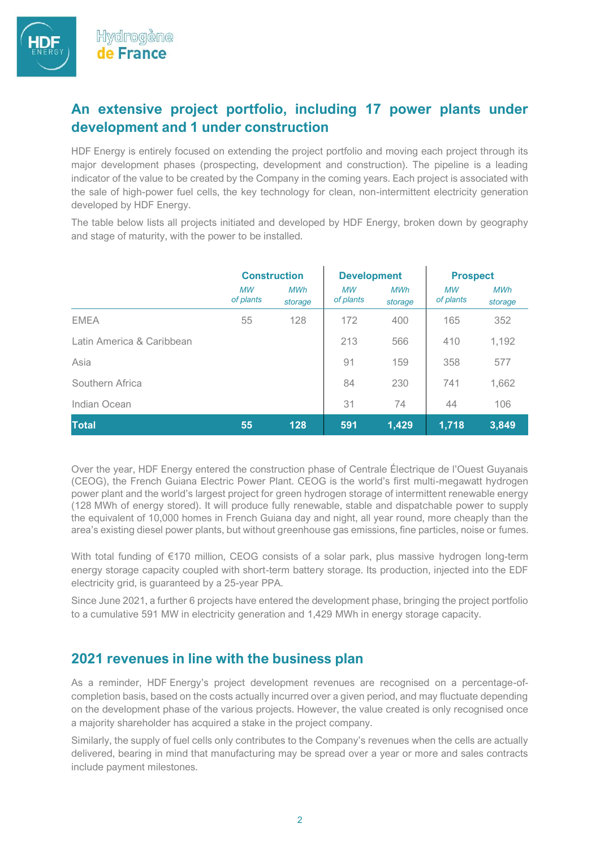#### **An extensive project portfolio, including 17 power plants under development and 1 under construction**

HDF Energy is entirely focused on extending the project portfolio and moving each project through its major development phases (prospecting, development and construction). The pipeline is a leading indicator of the value to be created by the Company in the coming years. Each project is associated with the sale of high-power fuel cells, the key technology for clean, non-intermittent electricity generation developed by HDF Energy.

The table below lists all projects initiated and developed by HDF Energy, broken down by geography and stage of maturity, with the power to be installed.

|                           | <b>Construction</b>    |                       | <b>Development</b>     |                       | <b>Prospect</b>        |                       |
|---------------------------|------------------------|-----------------------|------------------------|-----------------------|------------------------|-----------------------|
|                           | <b>MW</b><br>of plants | <b>MWh</b><br>storage | <b>MW</b><br>of plants | <b>MWh</b><br>storage | <b>MW</b><br>of plants | <b>MWh</b><br>storage |
| <b>EMEA</b>               | 55                     | 128                   | 172                    | 400                   | 165                    | 352                   |
| Latin America & Caribbean |                        |                       | 213                    | 566                   | 410                    | 1,192                 |
| Asia                      |                        |                       | 91                     | 159                   | 358                    | 577                   |
| Southern Africa           |                        |                       | 84                     | 230                   | 741                    | 1,662                 |
| Indian Ocean              |                        |                       | 31                     | 74                    | 44                     | 106                   |
| <b>Total</b>              | 55                     | 128                   | 591                    | 1,429                 | 1,718                  | 3,849                 |

Over the year, HDF Energy entered the construction phase of Centrale Électrique de l'Ouest Guyanais (CEOG), the French Guiana Electric Power Plant. CEOG is the world's first multi-megawatt hydrogen power plant and the world's largest project for green hydrogen storage of intermittent renewable energy (128 MWh of energy stored). It will produce fully renewable, stable and dispatchable power to supply the equivalent of 10,000 homes in French Guiana day and night, all year round, more cheaply than the area's existing diesel power plants, but without greenhouse gas emissions, fine particles, noise or fumes.

With total funding of €170 million, CEOG consists of a solar park, plus massive hydrogen long-term energy storage capacity coupled with short-term battery storage. Its production, injected into the EDF electricity grid, is guaranteed by a 25-year PPA.

Since June 2021, a further 6 projects have entered the development phase, bringing the project portfolio to a cumulative 591 MW in electricity generation and 1,429 MWh in energy storage capacity.

#### **2021 revenues in line with the business plan**

As a reminder, HDF Energy's project development revenues are recognised on a percentage-ofcompletion basis, based on the costs actually incurred over a given period, and may fluctuate depending on the development phase of the various projects. However, the value created is only recognised once a majority shareholder has acquired a stake in the project company.

Similarly, the supply of fuel cells only contributes to the Company's revenues when the cells are actually delivered, bearing in mind that manufacturing may be spread over a year or more and sales contracts include payment milestones.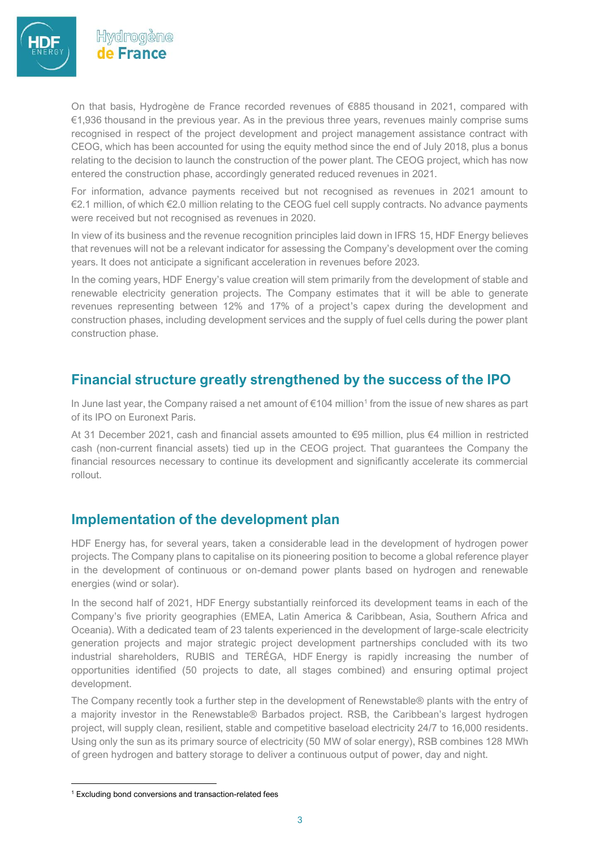

Hvdrogène de France

On that basis, Hydrogène de France recorded revenues of €885 thousand in 2021, compared with €1,936 thousand in the previous year. As in the previous three years, revenues mainly comprise sums recognised in respect of the project development and project management assistance contract with CEOG, which has been accounted for using the equity method since the end of July 2018, plus a bonus relating to the decision to launch the construction of the power plant. The CEOG project, which has now entered the construction phase, accordingly generated reduced revenues in 2021.

For information, advance payments received but not recognised as revenues in 2021 amount to €2.1 million, of which €2.0 million relating to the CEOG fuel cell supply contracts. No advance payments were received but not recognised as revenues in 2020.

In view of its business and the revenue recognition principles laid down in IFRS 15, HDF Energy believes that revenues will not be a relevant indicator for assessing the Company's development over the coming years. It does not anticipate a significant acceleration in revenues before 2023.

In the coming years, HDF Energy's value creation will stem primarily from the development of stable and renewable electricity generation projects. The Company estimates that it will be able to generate revenues representing between 12% and 17% of a project's capex during the development and construction phases, including development services and the supply of fuel cells during the power plant construction phase.

### **Financial structure greatly strengthened by the success of the IPO**

In June last year, the Company raised a net amount of  $\epsilon$ 104 million<sup>1</sup> from the issue of new shares as part of its IPO on Euronext Paris.

At 31 December 2021, cash and financial assets amounted to €95 million, plus €4 million in restricted cash (non-current financial assets) tied up in the CEOG project. That guarantees the Company the financial resources necessary to continue its development and significantly accelerate its commercial rollout.

#### **Implementation of the development plan**

HDF Energy has, for several years, taken a considerable lead in the development of hydrogen power projects. The Company plans to capitalise on its pioneering position to become a global reference player in the development of continuous or on-demand power plants based on hydrogen and renewable energies (wind or solar).

In the second half of 2021, HDF Energy substantially reinforced its development teams in each of the Company's five priority geographies (EMEA, Latin America & Caribbean, Asia, Southern Africa and Oceania). With a dedicated team of 23 talents experienced in the development of large-scale electricity generation projects and major strategic project development partnerships concluded with its two industrial shareholders, RUBIS and TERÉGA, HDF Energy is rapidly increasing the number of opportunities identified (50 projects to date, all stages combined) and ensuring optimal project development.

The Company recently took a further step in the development of Renewstable® plants with the entry of a majority investor in the Renewstable® Barbados project. RSB, the Caribbean's largest hydrogen project, will supply clean, resilient, stable and competitive baseload electricity 24/7 to 16,000 residents. Using only the sun as its primary source of electricity (50 MW of solar energy), RSB combines 128 MWh of green hydrogen and battery storage to deliver a continuous output of power, day and night.

<sup>&</sup>lt;sup>1</sup> Excluding bond conversions and transaction-related fees